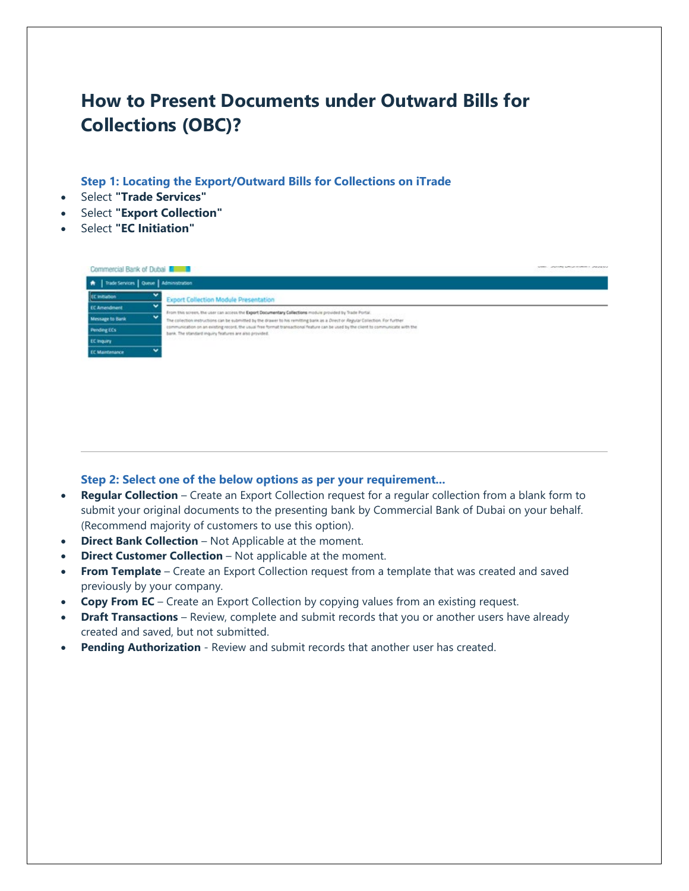## **How to Present Documents under Outward Bills for Collections (OBC)?**

**Step 1: Locating the Export/Outward Bills for Collections on iTrade**

- Select **"Trade Services"**
- Select **"Export Collection"**
- Select **"EC Initiation"**

| Commercial Bank of Dubai                  | UNITED STOLETERS CONSUMING                                                                                                                                                                    |
|-------------------------------------------|-----------------------------------------------------------------------------------------------------------------------------------------------------------------------------------------------|
| A Trade Services   Queue   Administration |                                                                                                                                                                                               |
| EC initiation                             | <b>Export Collection Module Presentation</b>                                                                                                                                                  |
| <b>EC Amendment</b>                       | From this screen, the user can access the Export Documentary Collections module provided by Trade Portal.                                                                                     |
| w<br><b>Message to Bank</b>               | The collection instructions can be submitted by the drawer to his remitting bank as a Direct or Regular Collection. For further                                                               |
| <b>Pending ECs</b>                        | communication on an existing record, the usual free format transactional feature can be used by the client to communicate with the<br>bank. The standard inquiry finalures are also provided. |
| EC Inquiry                                | 1000년 1000년 1000년 1000년 1000년 1000년 1000년 1000년                                                                                                                                               |
| <b>EC Maintenance</b>                     |                                                                                                                                                                                               |
|                                           |                                                                                                                                                                                               |

## **Step 2: Select one of the below options as per your requirement...**

- **Regular Collection** Create an Export Collection request for a regular collection from a blank form to submit your original documents to the presenting bank by Commercial Bank of Dubai on your behalf. (Recommend majority of customers to use this option).
- **Direct Bank Collection** Not Applicable at the moment.
- **Direct Customer Collection** Not applicable at the moment.
- **From Template** Create an Export Collection request from a template that was created and saved previously by your company.
- **Copy From EC** Create an Export Collection by copying values from an existing request.
- **Draft Transactions** Review, complete and submit records that you or another users have already created and saved, but not submitted.
- **Pending Authorization** Review and submit records that another user has created.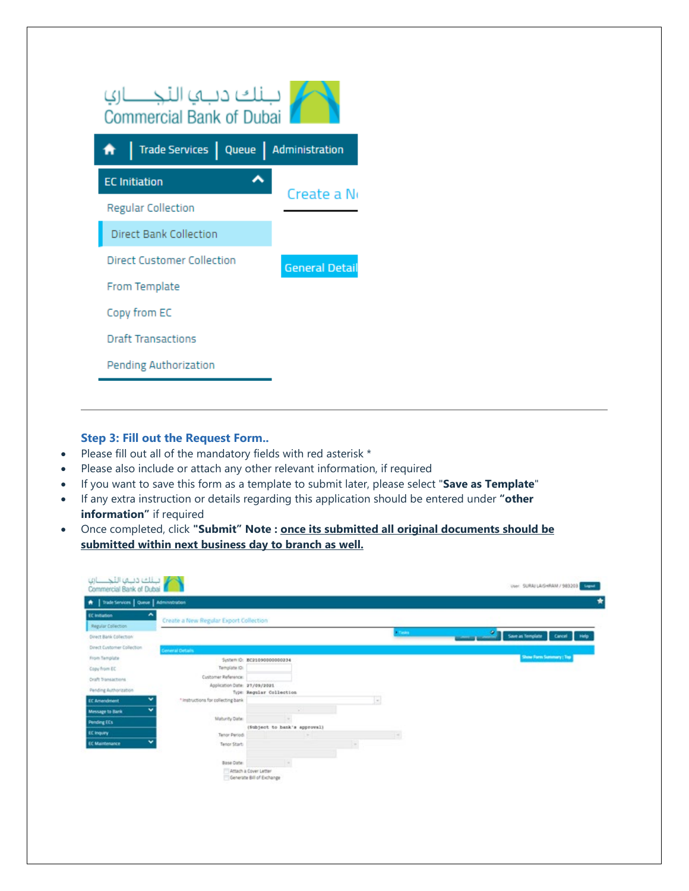| ببنك دباها التجنسارها<br><b>Commercial Bank of Dubai</b> |                       |  |  |  |  |  |
|----------------------------------------------------------|-----------------------|--|--|--|--|--|
| Trade Services   Queue   Administration                  |                       |  |  |  |  |  |
| <b>EC</b> Initiation                                     | Create a No           |  |  |  |  |  |
| <b>Regular Collection</b>                                |                       |  |  |  |  |  |
| Direct Bank Collection                                   |                       |  |  |  |  |  |
| <b>Direct Customer Collection</b>                        | <b>General Detail</b> |  |  |  |  |  |
| From Template                                            |                       |  |  |  |  |  |
| Copy from EC                                             |                       |  |  |  |  |  |
| <b>Draft Transactions</b>                                |                       |  |  |  |  |  |
| <b>Pending Authorization</b>                             |                       |  |  |  |  |  |
|                                                          |                       |  |  |  |  |  |

## **Step 3: Fill out the Request Form..**

- Please fill out all of the mandatory fields with red asterisk \*
- Please also include or attach any other relevant information, if required
- If you want to save this form as a template to submit later, please select "**Save as Template**"
- If any extra instruction or details regarding this application should be entered under **"other information"** if required
- Once completed, click **"Submit" Note : once its submitted all original documents should be submitted within next business day to branch as well.**

| A   Trade Services   Queue   Administration |                                        |                                                    |                          |        |                              |
|---------------------------------------------|----------------------------------------|----------------------------------------------------|--------------------------|--------|------------------------------|
| <b>EC Initiation</b>                        | Create a New Regular Export Collection |                                                    |                          |        |                              |
| Regular Collection                          |                                        |                                                    |                          | Tasks. | ٠                            |
| Direct Bank Collection                      |                                        |                                                    |                          |        | Save as Template Cancel Help |
| Direct Customer Collection                  | <b>General Details</b>                 |                                                    |                          |        |                              |
| From Template                               |                                        | System ID: BC210900000000234                       |                          |        | Show Form Summary   Top      |
| Copy from EC                                | Template ID:                           |                                                    |                          |        |                              |
| Oraft Transactions                          | Cusitomer Reference:                   |                                                    |                          |        |                              |
| Pending Authorization                       | Application Date: 27/09/2021           | Type: Regular Collection                           |                          |        |                              |
| v<br><b>EC Amendment</b>                    | * leatructions for collecting bank     |                                                    | $\overline{\phantom{a}}$ |        |                              |
| v<br>Message to Bank                        |                                        | w                                                  |                          |        |                              |
| <b>Pending EEs</b>                          | Maburity Date:                         | $\sim$                                             |                          |        |                              |
| EC Inquiry                                  |                                        | (Subject to bank's approval)                       |                          |        |                              |
| v<br><b>EC Maintenance</b>                  | Tehor Period:                          |                                                    |                          |        |                              |
|                                             | Tenpr Start                            |                                                    | ×                        |        |                              |
|                                             | <b>Base Date:</b>                      | $\sim$                                             |                          |        |                              |
|                                             |                                        | Attach a Cover Letter<br>Generate Bill of Exchange |                          |        |                              |